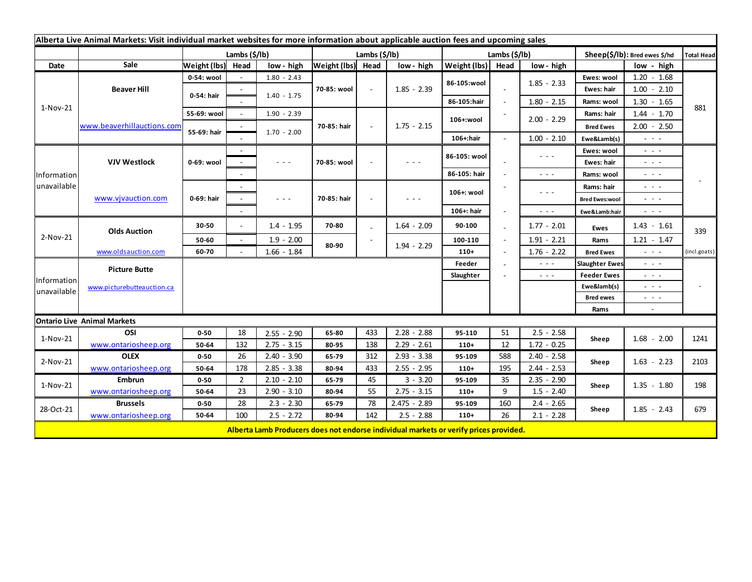| Alberta Live Animal Markets: Visit individual market websites for more information about applicable auction fees and upcoming sales |                            |               |                          |                      |                   |        |                                                                                       |               |                          |                                                                                                                        |                       |                                             |                   |
|-------------------------------------------------------------------------------------------------------------------------------------|----------------------------|---------------|--------------------------|----------------------|-------------------|--------|---------------------------------------------------------------------------------------|---------------|--------------------------|------------------------------------------------------------------------------------------------------------------------|-----------------------|---------------------------------------------|-------------------|
|                                                                                                                                     |                            | Lambs (\$/lb) |                          |                      | Lambs (\$/lb)     |        |                                                                                       | Lambs (\$/lb) |                          |                                                                                                                        |                       | Sheep(\$/lb): Bred ewes \$/hd               | <b>Total Head</b> |
| Date                                                                                                                                | Sale                       | Weight (lbs)  | Head                     | low - high           | Weight (lbs) Head |        | low - high                                                                            | Weight (lbs)  | Head                     | low - high                                                                                                             |                       | low - high                                  |                   |
| 1-Nov-21                                                                                                                            | <b>Beaver Hill</b>         | 0-54: wool    |                          | $1.80 - 2.43$        | 70-85: wool       | $\sim$ | $1.85 - 2.39$                                                                         | 86-105:wool   |                          |                                                                                                                        | Ewes: wool            | $1.20 - 1.68$                               | 881               |
|                                                                                                                                     |                            | 0-54: hair    |                          | $1.40 - 1.75$        |                   |        |                                                                                       |               |                          | $1.85 - 2.33$                                                                                                          | Ewes: hair            | $1.00 - 2.10$                               |                   |
|                                                                                                                                     |                            |               |                          |                      |                   |        |                                                                                       | 86-105:hair   | $\blacksquare$           | $1.80 - 2.15$                                                                                                          | Rams: wool            | $1.30 - 1.65$                               |                   |
|                                                                                                                                     | www.beaverhillauctions.com | 55-69: wool   |                          | $1.90 - 2.39$        |                   |        | $1.75 - 2.15$                                                                         | 106+:wool     |                          | $2.00 - 2.29$                                                                                                          | Rams: hair            | $1.44 - 1.70$                               |                   |
|                                                                                                                                     |                            | 55-69: hair   |                          |                      | 70-85: hair       |        |                                                                                       |               |                          |                                                                                                                        | <b>Bred Ewes</b>      | $2.00 - 2.50$                               |                   |
|                                                                                                                                     |                            |               |                          | $1.70 - 2.00$        |                   |        |                                                                                       | 106+:hair     |                          | $1.00 - 2.10$                                                                                                          | Ewe&Lamb(s)           | $\sim$ $\sim$ $\sim$                        |                   |
| Information<br>unavailable                                                                                                          | <b>VJV Westlock</b>        | 0-69: wool    |                          |                      | 70-85: wool       |        | $  -$                                                                                 | 86-105: wool  |                          | $\frac{1}{2} \left( \frac{1}{2} \right) \frac{1}{2} \left( \frac{1}{2} \right) \frac{1}{2} \left( \frac{1}{2} \right)$ | Ewes: wool            | - - -                                       |                   |
|                                                                                                                                     |                            |               |                          | $\sim$ $\sim$ $\sim$ |                   |        |                                                                                       |               |                          |                                                                                                                        | Ewes: hair            | - - -                                       |                   |
|                                                                                                                                     |                            |               |                          |                      |                   |        |                                                                                       | 86-105: hair  |                          | $\sim$ $\sim$ $\sim$                                                                                                   | Rams: wool            | $\sim$ 100 $\pm$                            |                   |
|                                                                                                                                     | www.vjvauction.com         | 0-69: hair    |                          |                      | 70-85: hair       |        | $  -$                                                                                 | 106+: wool    |                          | $  -$                                                                                                                  | Rams: hair            | $ -$                                        |                   |
|                                                                                                                                     |                            |               |                          | $\sim$ $\sim$ $\sim$ |                   |        |                                                                                       |               |                          |                                                                                                                        | <b>Bred Ewes:wool</b> | - - -                                       |                   |
|                                                                                                                                     |                            |               |                          |                      |                   |        |                                                                                       | 106+: hair    |                          | $\sim$ $\sim$ $\sim$                                                                                                   | Ewe&Lamb:hair         | - - -                                       |                   |
| 2-Nov-21                                                                                                                            | <b>Olds Auction</b>        | 30-50         | $\sim$                   | $1.4 - 1.95$         | 70-80             |        | $1.64 - 2.09$                                                                         | 90-100        |                          | $1.77 - 2.01$                                                                                                          | <b>Ewes</b>           | $1.43 - 1.61$                               | 339               |
|                                                                                                                                     |                            | 50-60         | $\overline{\phantom{a}}$ | $1.9 - 2.00$         |                   |        |                                                                                       | 100-110       |                          | $1.91 - 2.21$                                                                                                          | Rams                  | $1.21 - 1.47$                               |                   |
|                                                                                                                                     | www.oldsauction.com        | 60-70         |                          | $1.66 - 1.84$        | 80-90             |        | $1.94 - 2.29$                                                                         | $110+$        | $\overline{\phantom{a}}$ | $1.76 - 2.22$                                                                                                          | <b>Bred Ewes</b>      | $\omega_{\rm{eff}}$ and $\omega_{\rm{eff}}$ | (incl.goats)      |
| Information<br>unavailable                                                                                                          | <b>Picture Butte</b>       |               |                          |                      |                   |        |                                                                                       | Feeder        |                          | $  -$                                                                                                                  | <b>Slaughter Ewes</b> | - - -                                       |                   |
|                                                                                                                                     | www.picturebutteauction.ca |               |                          |                      |                   |        |                                                                                       | Slaughter     |                          | $\sim$ $\sim$ $\sim$                                                                                                   | <b>Feeder Ewes</b>    | $  -$                                       |                   |
|                                                                                                                                     |                            |               |                          |                      |                   |        |                                                                                       |               |                          |                                                                                                                        | Ewe&lamb(s)           | $  -$                                       |                   |
|                                                                                                                                     |                            |               |                          |                      |                   |        |                                                                                       |               |                          |                                                                                                                        | <b>Bred ewes</b>      | $ -$                                        |                   |
|                                                                                                                                     |                            |               |                          |                      |                   |        |                                                                                       |               |                          |                                                                                                                        | Rams                  | $\sim$                                      |                   |
| <b>Ontario Live Animal Markets</b>                                                                                                  |                            |               |                          |                      |                   |        |                                                                                       |               |                          |                                                                                                                        |                       |                                             |                   |
| 1-Nov-21                                                                                                                            | OSI                        | $0 - 50$      | 18                       | $2.55 - 2.90$        | 65-80             | 433    | $2.28 - 2.88$                                                                         | 95-110        | 51                       | $2.5 - 2.58$                                                                                                           | Sheep                 | $1.68 - 2.00$                               | 1241              |
|                                                                                                                                     | www.ontariosheep.org       | 50-64         | 132                      | $2.75 - 3.15$        | 80-95             | 138    | $2.29 - 2.61$                                                                         | $110+$        | 12                       | $1.72 - 0.25$                                                                                                          |                       |                                             |                   |
| 2-Nov-21                                                                                                                            | <b>OLEX</b>                | $0 - 50$      | 26                       | $2.40 - 3.90$        | 65-79             | 312    | $2.93 - 3.38$                                                                         | 95-109        | 588                      | $2.40 - 2.58$                                                                                                          | Sheep                 | $1.63 - 2.23$                               | 2103              |
|                                                                                                                                     | www.ontariosheep.org       | 50-64         | 178                      | $2.85 - 3.38$        | 80-94             | 433    | $2.55 - 2.95$                                                                         | $110+$        | 195                      | $2.44 - 2.53$                                                                                                          |                       |                                             |                   |
| 1-Nov-21                                                                                                                            | <b>Embrun</b>              | $0 - 50$      | $\overline{2}$           | $2.10 - 2.10$        | 65-79             | 45     | $3 - 3.20$                                                                            | 95-109        | 35                       | $2.35 - 2.90$                                                                                                          | Sheep                 | $1.35 - 1.80$                               | 198               |
|                                                                                                                                     | www.ontariosheep.org       | 50-64         | 23                       | $2.90 - 3.10$        | 80-94             | 55     | $2.75 - 3.15$                                                                         | $110+$        | 9                        | $1.5 - 2.40$                                                                                                           |                       |                                             |                   |
| 28-Oct-21                                                                                                                           | <b>Brussels</b>            | $0 - 50$      | 28                       | $2.3 - 2.30$         | 65-79             | 78     | $2.475 - 2.89$                                                                        | 95-109        | 160                      | $2.4 - 2.65$                                                                                                           | Sheep                 | $1.85 - 2.43$                               | 679               |
|                                                                                                                                     | www.ontariosheep.org       | 50-64         | 100                      | $2.5 - 2.72$         | 80-94             | 142    | $2.5 - 2.88$                                                                          | $110+$        | 26                       | $2.1 - 2.28$                                                                                                           |                       |                                             |                   |
|                                                                                                                                     |                            |               |                          |                      |                   |        | Alberta Lamb Producers does not endorse individual markets or verify prices provided. |               |                          |                                                                                                                        |                       |                                             |                   |